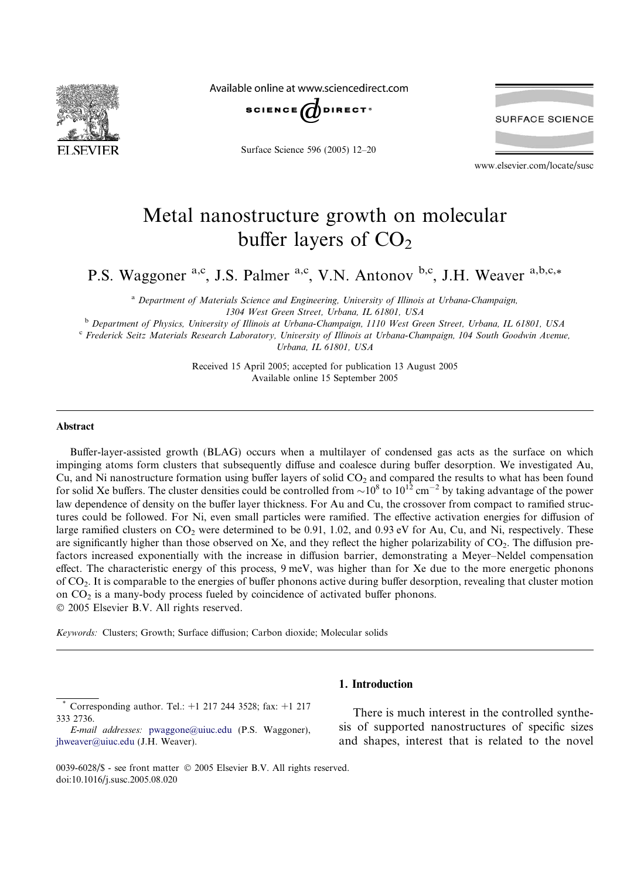

Available online at www.sciencedirect.com



Surface Science 596 (2005) 12–20



www.elsevier.com/locate/susc

# Metal nanostructure growth on molecular buffer layers of  $CO<sub>2</sub>$

P.S. Waggoner <sup>a,c</sup>, J.S. Palmer <sup>a,c</sup>, V.N. Antonov <sup>b,c</sup>, J.H. Weaver <sup>a,b,c,\*</sup>

<sup>a</sup> Department of Materials Science and Engineering, University of Illinois at Urbana-Champaign, 1304West Green Street, Urbana, IL 61801, USA

<sup>b</sup> Department of Physics, University of Illinois at Urbana-Champaign, 1110 West Green Street, Urbana, IL 61801, USA

<sup>c</sup> Frederick Seitz Materials Research Laboratory, University of Illinois at Urbana-Champaign, 104 South Goodwin Avenue,

Urbana, IL 61801, USA

Received 15 April 2005; accepted for publication 13 August 2005 Available online 15 September 2005

#### Abstract

Buffer-layer-assisted growth (BLAG) occurs when a multilayer of condensed gas acts as the surface on which impinging atoms form clusters that subsequently diffuse and coalesce during buffer desorption. We investigated Au, Cu, and Ni nanostructure formation using buffer layers of solid  $CO<sub>2</sub>$  and compared the results to what has been found for solid Xe buffers. The cluster densities could be controlled from  $\sim 10^8$  to  $10^{12}$  cm<sup>-2</sup> by taking advantage of the power law dependence of density on the buffer layer thickness. For Au and Cu, the crossover from compact to ramified structures could be followed. For Ni, even small particles were ramified. The effective activation energies for diffusion of large ramified clusters on  $CO_2$  were determined to be 0.91, 1.02, and 0.93 eV for Au, Cu, and Ni, respectively. These are significantly higher than those observed on Xe, and they reflect the higher polarizability of CO<sub>2</sub>. The diffusion prefactors increased exponentially with the increase in diffusion barrier, demonstrating a Meyer–Neldel compensation effect. The characteristic energy of this process, 9 meV, was higher than for Xe due to the more energetic phonons of CO2. It is comparable to the energies of buffer phonons active during buffer desorption, revealing that cluster motion on CO2 is a many-body process fueled by coincidence of activated buffer phonons. 2005 Elsevier B.V. All rights reserved.

Keywords: Clusters; Growth; Surface diffusion; Carbon dioxide; Molecular solids

## 1. Introduction

\* Corresponding author. Tel.: +1 217 244 3528; fax: +1 217 333 2736.

E-mail addresses: [pwaggone@uiuc.edu](mailto:pwaggone@uiuc.edu) (P.S. Waggoner), [jhweaver@uiuc.edu](mailto:jhweaver@uiuc.edu) (J.H. Weaver).

There is much interest in the controlled synthesis of supported nanostructures of specific sizes and shapes, interest that is related to the novel

<sup>0039-6028/\$ -</sup> see front matter © 2005 Elsevier B.V. All rights reserved. doi:10.1016/j.susc.2005.08.020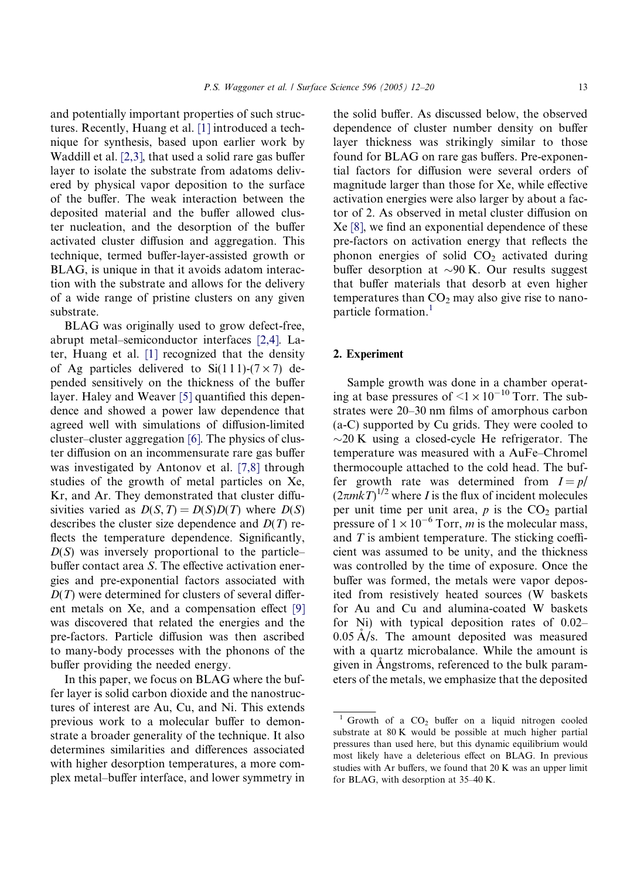and potentially important properties of such structures. Recently, Huang et al. [\[1\]](#page-8-0) introduced a technique for synthesis, based upon earlier work by Waddill et al. [\[2,3\]](#page-8-0), that used a solid rare gas buffer layer to isolate the substrate from adatoms delivered by physical vapor deposition to the surface of the buffer. The weak interaction between the deposited material and the buffer allowed cluster nucleation, and the desorption of the buffer activated cluster diffusion and aggregation. This technique, termed buffer-layer-assisted growth or BLAG, is unique in that it avoids adatom interaction with the substrate and allows for the delivery of a wide range of pristine clusters on any given substrate.

BLAG was originally used to grow defect-free, abrupt metal–semiconductor interfaces [\[2,4\]](#page-8-0). Later, Huang et al. [\[1\]](#page-8-0) recognized that the density of Ag particles delivered to  $Si(111)-(7\times7)$  depended sensitively on the thickness of the buffer layer. Haley and Weaver [\[5\]](#page-8-0) quantified this dependence and showed a power law dependence that agreed well with simulations of diffusion-limited cluster–cluster aggregation [\[6\]](#page-8-0). The physics of cluster diffusion on an incommensurate rare gas buffer was investigated by Antonov et al. [\[7,8\]](#page-8-0) through studies of the growth of metal particles on Xe, Kr, and Ar. They demonstrated that cluster diffusivities varied as  $D(S,T) = D(S)D(T)$  where  $D(S)$ describes the cluster size dependence and  $D(T)$  reflects the temperature dependence. Significantly,  $D(S)$  was inversely proportional to the particle– buffer contact area S. The effective activation energies and pre-exponential factors associated with  $D(T)$  were determined for clusters of several different metals on Xe, and a compensation effect [\[9\]](#page-8-0) was discovered that related the energies and the pre-factors. Particle diffusion was then ascribed to many-body processes with the phonons of the buffer providing the needed energy.

In this paper, we focus on BLAG where the buffer layer is solid carbon dioxide and the nanostructures of interest are Au, Cu, and Ni. This extends previous work to a molecular buffer to demonstrate a broader generality of the technique. It also determines similarities and differences associated with higher desorption temperatures, a more complex metal–buffer interface, and lower symmetry in

the solid buffer. As discussed below, the observed dependence of cluster number density on buffer layer thickness was strikingly similar to those found for BLAG on rare gas buffers. Pre-exponential factors for diffusion were several orders of magnitude larger than those for Xe, while effective activation energies were also larger by about a factor of 2. As observed in metal cluster diffusion on Xe [\[8\],](#page-8-0) we find an exponential dependence of these pre-factors on activation energy that reflects the phonon energies of solid  $CO<sub>2</sub>$  activated during buffer desorption at  $\sim$ 90 K. Our results suggest that buffer materials that desorb at even higher temperatures than  $CO<sub>2</sub>$  may also give rise to nanoparticle formation. $<sup>1</sup>$ </sup>

## 2. Experiment

Sample growth was done in a chamber operating at base pressures of  $\leq 1 \times 10^{-10}$  Torr. The substrates were 20–30 nm films of amorphous carbon (a-C) supported by Cu grids. They were cooled to  $\sim$ 20 K using a closed-cycle He refrigerator. The temperature was measured with a AuFe–Chromel thermocouple attached to the cold head. The buffer growth rate was determined from  $I = p/$  $(2\pi mkT)^{1/2}$  where *I* is the flux of incident molecules per unit time per unit area,  $p$  is the  $CO<sub>2</sub>$  partial pressure of  $1 \times 10^{-6}$  Torr, *m* is the molecular mass, and  $T$  is ambient temperature. The sticking coefficient was assumed to be unity, and the thickness was controlled by the time of exposure. Once the buffer was formed, the metals were vapor deposited from resistively heated sources (W baskets for Au and Cu and alumina-coated W baskets for Ni) with typical deposition rates of 0.02–  $0.05 \text{ Å/s}$ . The amount deposited was measured with a quartz microbalance. While the amount is given in Angstroms, referenced to the bulk parameters of the metals, we emphasize that the deposited

Growth of a  $CO<sub>2</sub>$  buffer on a liquid nitrogen cooled substrate at 80 K would be possible at much higher partial pressures than used here, but this dynamic equilibrium would most likely have a deleterious effect on BLAG. In previous studies with Ar buffers, we found that 20 K was an upper limit for BLAG, with desorption at 35–40 K.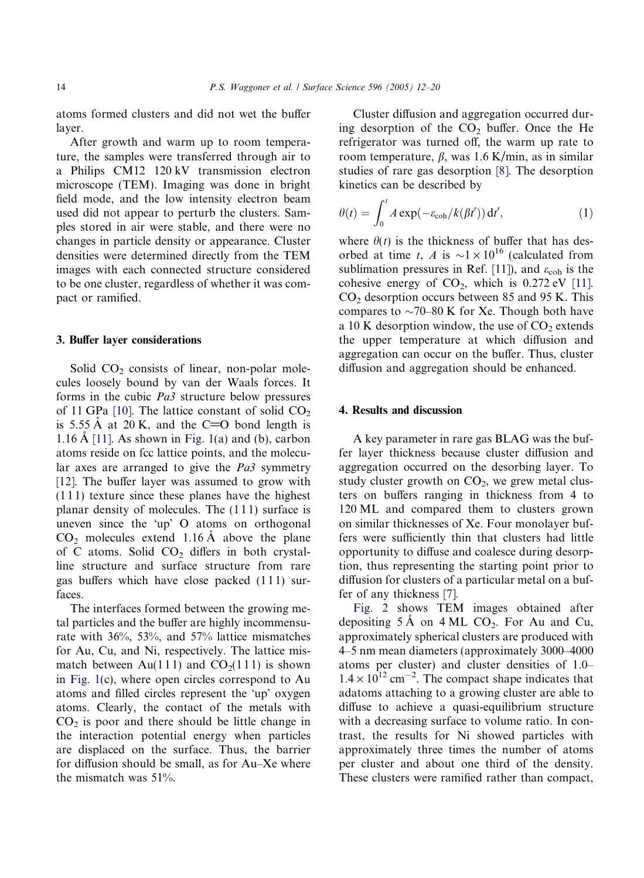atoms formed clusters and did not wet the buffer layer.

After growth and warm up to room temperature, the samples were transferred through air to a Philips CM12 120 kV transmission electron microscope (TEM). Imaging was done in bright field mode, and the low intensity electron beam used did not appear to perturb the clusters. Samples stored in air were stable, and there were no changes in particle density or appearance. Cluster densities were determined directly from the TEM images with each connected structure considered to be one cluster, regardless of whether it was compact or ramified.

#### 3. Buffer layer considerations

Solid  $CO<sub>2</sub>$  consists of linear, non-polar molecules loosely bound by van der Waals forces. It forms in the cubic Pa3 structure below pressures of 11 GPa  $[10]$ . The lattice constant of solid CO<sub>2</sub> is 5.55 Å at 20 K, and the C=O bond length is 1.16 A  $[11]$ . As shown in [Fig. 1](#page-3-0)(a) and (b), carbon atoms reside on fcc lattice points, and the molecular axes are arranged to give the Pa3 symmetry [\[12\].](#page-8-0) The buffer layer was assumed to grow with  $(111)$  texture since these planes have the highest planar density of molecules. The (111) surface is uneven since the 'up' O atoms on orthogonal  $CO<sub>2</sub>$  molecules extend 1.16 Å above the plane of C atoms. Solid  $CO<sub>2</sub>$  differs in both crystalline structure and surface structure from rare gas buffers which have close packed (1 1 1) surfaces.

The interfaces formed between the growing metal particles and the buffer are highly incommensurate with 36%, 53%, and 57% lattice mismatches for Au, Cu, and Ni, respectively. The lattice mismatch between Au(111) and  $CO<sub>2</sub>(111)$  is shown in [Fig. 1\(](#page-3-0)c), where open circles correspond to Au atoms and filled circles represent the 'up' oxygen atoms. Clearly, the contact of the metals with  $CO<sub>2</sub>$  is poor and there should be little change in the interaction potential energy when particles are displaced on the surface. Thus, the barrier for diffusion should be small, as for Au–Xe where the mismatch was 51%.

Cluster diffusion and aggregation occurred during desorption of the  $CO<sub>2</sub>$  buffer. Once the He refrigerator was turned off, the warm up rate to room temperature,  $\beta$ , was 1.6 K/min, as in similar studies of rare gas desorption [\[8\].](#page-8-0) The desorption kinetics can be described by

$$
\theta(t) = \int_0^t A \exp(-\varepsilon_{\text{coh}}/k(\beta t')) \, \mathrm{d}t',\tag{1}
$$

where  $\theta(t)$  is the thickness of buffer that has desorbed at time t, A is  $\sim 1 \times 10^{16}$  (calculated from sublimation pressures in Ref. [\[11\]](#page-8-0)), and  $\varepsilon_{\rm coh}$  is the cohesive energy of  $CO<sub>2</sub>$ , which is 0.272 eV [\[11\]](#page-8-0).  $CO<sub>2</sub>$  desorption occurs between 85 and 95 K. This compares to  $\sim$ 70–80 K for Xe. Though both have a 10 K desorption window, the use of  $CO<sub>2</sub>$  extends the upper temperature at which diffusion and aggregation can occur on the buffer. Thus, cluster diffusion and aggregation should be enhanced.

## 4. Results and discussion

A key parameter in rare gas BLAG was the buffer layer thickness because cluster diffusion and aggregation occurred on the desorbing layer. To study cluster growth on  $CO<sub>2</sub>$ , we grew metal clusters on buffers ranging in thickness from 4 to 120 ML and compared them to clusters grown on similar thicknesses of Xe. Four monolayer buffers were sufficiently thin that clusters had little opportunity to diffuse and coalesce during desorption, thus representing the starting point prior to diffusion for clusters of a particular metal on a buffer of any thickness [\[7\]](#page-8-0).

[Fig. 2](#page-4-0) shows TEM images obtained after depositing  $5 \text{ Å}$  on  $4 \text{ ML CO}_2$ . For Au and Cu, approximately spherical clusters are produced with 4–5 nm mean diameters (approximately 3000–4000 atoms per cluster) and cluster densities of 1.0–  $1.4 \times 10^{12}$  cm<sup>-2</sup>. The compact shape indicates that adatoms attaching to a growing cluster are able to diffuse to achieve a quasi-equilibrium structure with a decreasing surface to volume ratio. In contrast, the results for Ni showed particles with approximately three times the number of atoms per cluster and about one third of the density. These clusters were ramified rather than compact,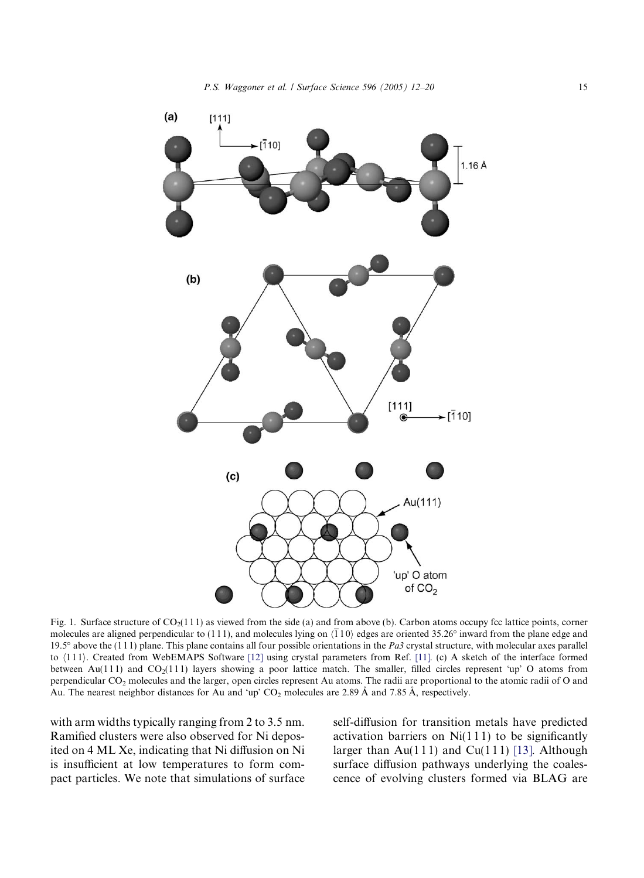<span id="page-3-0"></span>

Fig. 1. Surface structure of  $CO<sub>2</sub>(111)$  as viewed from the side (a) and from above (b). Carbon atoms occupy fcc lattice points, corner molecules are aligned perpendicular to (111), and molecules lying on  $\langle \overline{1}10 \rangle$  edges are oriented 35.26° inward from the plane edge and 19.5 $\degree$  above the (111) plane. This plane contains all four possible orientations in the Pa3 crystal structure, with molecular axes parallel to  $\langle 111 \rangle$ . Created from WebEMAPS Software [\[12\]](#page-8-0) using crystal parameters from Ref. [\[11\]](#page-8-0). (c) A sketch of the interface formed between Au(111) and  $CO_2(111)$  layers showing a poor lattice match. The smaller, filled circles represent 'up' O atoms from perpendicular CO<sub>2</sub> molecules and the larger, open circles represent Au atoms. The radii are proportional to the atomic radii of O and Au. The nearest neighbor distances for Au and 'up'  $CO_2$  molecules are 2.89 Å and 7.85 Å, respectively.

with arm widths typically ranging from 2 to 3.5 nm. Ramified clusters were also observed for Ni deposited on 4 ML Xe, indicating that Ni diffusion on Ni is insufficient at low temperatures to form compact particles. We note that simulations of surface self-diffusion for transition metals have predicted activation barriers on  $Ni(111)$  to be significantly larger than  $Au(111)$  and  $Cu(111)$  [\[13\].](#page-8-0) Although surface diffusion pathways underlying the coalescence of evolving clusters formed via BLAG are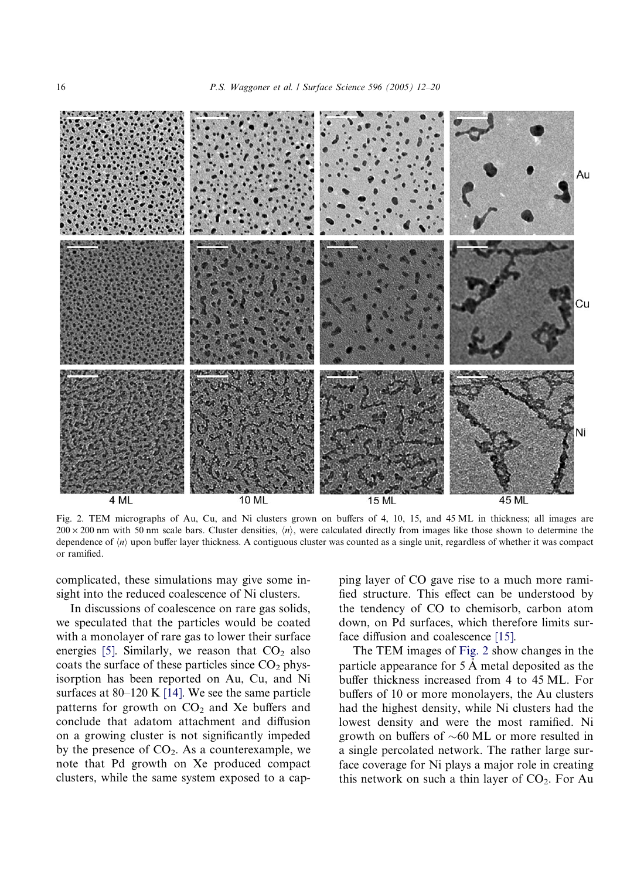<span id="page-4-0"></span>

Fig. 2. TEM micrographs of Au, Cu, and Ni clusters grown on buffers of 4, 10, 15, and 45 ML in thickness; all images are  $200 \times 200$  nm with 50 nm scale bars. Cluster densities,  $\langle n \rangle$ , were calculated directly from images like those shown to determine the dependence of  $\langle n \rangle$  upon buffer layer thickness. A contiguous cluster was counted as a single unit, regardless of whether it was compact or ramified.

complicated, these simulations may give some insight into the reduced coalescence of Ni clusters.

In discussions of coalescence on rare gas solids, we speculated that the particles would be coated with a monolayer of rare gas to lower their surface energies [\[5\].](#page-8-0) Similarly, we reason that  $CO<sub>2</sub>$  also coats the surface of these particles since  $CO<sub>2</sub>$  physisorption has been reported on Au, Cu, and Ni surfaces at  $80-120$  K [\[14\].](#page-8-0) We see the same particle patterns for growth on  $CO<sub>2</sub>$  and Xe buffers and conclude that adatom attachment and diffusion on a growing cluster is not significantly impeded by the presence of  $CO<sub>2</sub>$ . As a counterexample, we note that Pd growth on Xe produced compact clusters, while the same system exposed to a capping layer of CO gave rise to a much more ramified structure. This effect can be understood by the tendency of CO to chemisorb, carbon atom down, on Pd surfaces, which therefore limits surface diffusion and coalescence [\[15\].](#page-8-0)

The TEM images of Fig. 2 show changes in the particle appearance for  $5 \text{ Å}$  metal deposited as the buffer thickness increased from 4 to 45 ML. For buffers of 10 or more monolayers, the Au clusters had the highest density, while Ni clusters had the lowest density and were the most ramified. Ni growth on buffers of  $\sim 60$  ML or more resulted in a single percolated network. The rather large surface coverage for Ni plays a major role in creating this network on such a thin layer of  $CO<sub>2</sub>$ . For Au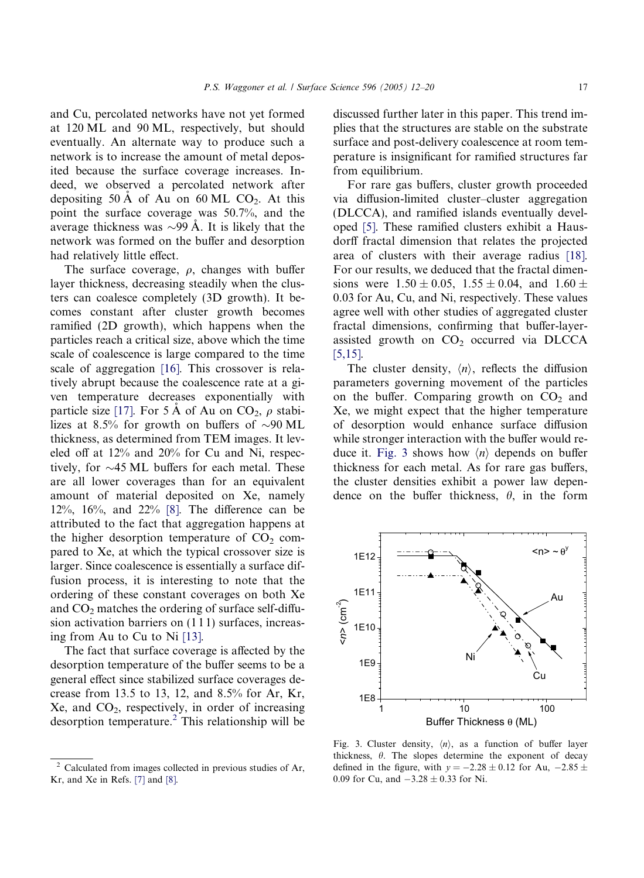and Cu, percolated networks have not yet formed at 120 ML and 90 ML, respectively, but should eventually. An alternate way to produce such a network is to increase the amount of metal deposited because the surface coverage increases. Indeed, we observed a percolated network after depositing 50 A of Au on 60 ML  $CO<sub>2</sub>$ . At this point the surface coverage was 50.7%, and the average thickness was  $\sim$ 99 A. It is likely that the network was formed on the buffer and desorption had relatively little effect.

The surface coverage,  $\rho$ , changes with buffer layer thickness, decreasing steadily when the clusters can coalesce completely (3D growth). It becomes constant after cluster growth becomes ramified (2D growth), which happens when the particles reach a critical size, above which the time scale of coalescence is large compared to the time scale of aggregation [\[16\]](#page-8-0). This crossover is relatively abrupt because the coalescence rate at a given temperature decreases exponentially with particle size [\[17\]](#page-8-0). For 5 Å of Au on CO<sub>2</sub>,  $\rho$  stabilizes at 8.5% for growth on buffers of  $\sim$ 90 ML thickness, as determined from TEM images. It leveled off at 12% and 20% for Cu and Ni, respectively, for  $\sim$ 45 ML buffers for each metal. These are all lower coverages than for an equivalent amount of material deposited on Xe, namely 12%, 16%, and 22% [\[8\]](#page-8-0). The difference can be attributed to the fact that aggregation happens at the higher desorption temperature of  $CO<sub>2</sub>$  compared to Xe, at which the typical crossover size is larger. Since coalescence is essentially a surface diffusion process, it is interesting to note that the ordering of these constant coverages on both Xe and  $CO<sub>2</sub>$  matches the ordering of surface self-diffusion activation barriers on  $(111)$  surfaces, increasing from Au to Cu to Ni [\[13\].](#page-8-0)

The fact that surface coverage is affected by the desorption temperature of the buffer seems to be a general effect since stabilized surface coverages decrease from 13.5 to 13, 12, and 8.5% for Ar, Kr,  $Xe$ , and  $CO<sub>2</sub>$ , respectively, in order of increasing desorption temperature.2 This relationship will be

discussed further later in this paper. This trend implies that the structures are stable on the substrate surface and post-delivery coalescence at room temperature is insignificant for ramified structures far from equilibrium.

For rare gas buffers, cluster growth proceeded via diffusion-limited cluster–cluster aggregation (DLCCA), and ramified islands eventually developed [\[5\]](#page-8-0). These ramified clusters exhibit a Hausdorff fractal dimension that relates the projected area of clusters with their average radius [\[18\]](#page-8-0). For our results, we deduced that the fractal dimensions were  $1.50 \pm 0.05$ ,  $1.55 \pm 0.04$ , and  $1.60 \pm 0.04$ 0.03 for Au, Cu, and Ni, respectively. These values agree well with other studies of aggregated cluster fractal dimensions, confirming that buffer-layerassisted growth on  $CO<sub>2</sub>$  occurred via DLCCA [\[5,15\].](#page-8-0)

The cluster density,  $\langle n \rangle$ , reflects the diffusion parameters governing movement of the particles on the buffer. Comparing growth on  $CO<sub>2</sub>$  and Xe, we might expect that the higher temperature of desorption would enhance surface diffusion while stronger interaction with the buffer would reduce it. Fig. 3 shows how  $\langle n \rangle$  depends on buffer thickness for each metal. As for rare gas buffers, the cluster densities exhibit a power law dependence on the buffer thickness,  $\theta$ , in the form



Fig. 3. Cluster density,  $\langle n \rangle$ , as a function of buffer layer thickness,  $\theta$ . The slopes determine the exponent of decay defined in the figure, with  $y = -2.28 \pm 0.12$  for Au,  $-2.85 \pm 0.12$ 0.09 for Cu, and  $-3.28 \pm 0.33$  for Ni.

 $2$  Calculated from images collected in previous studies of Ar, Kr, and Xe in Refs. [\[7\]](#page-8-0) and [\[8\].](#page-8-0)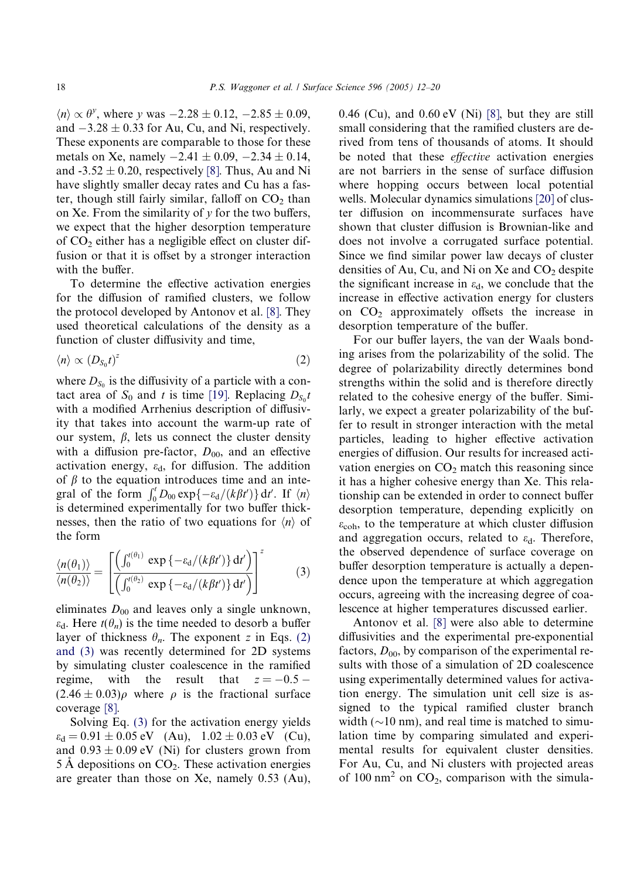$\langle n \rangle \propto \theta^{\gamma}$ , where y was  $-2.28 \pm 0.12$ ,  $-2.85 \pm 0.09$ , and  $-3.28 \pm 0.33$  for Au, Cu, and Ni, respectively. These exponents are comparable to those for these metals on Xe, namely  $-2.41 \pm 0.09$ ,  $-2.34 \pm 0.14$ , and  $-3.52 \pm 0.20$ , respectively [\[8\]](#page-8-0). Thus, Au and Ni have slightly smaller decay rates and Cu has a faster, though still fairly similar, falloff on  $CO<sub>2</sub>$  than on Xe. From the similarity of  $\nu$  for the two buffers, we expect that the higher desorption temperature of  $CO<sub>2</sub>$  either has a negligible effect on cluster diffusion or that it is offset by a stronger interaction with the buffer.

To determine the effective activation energies for the diffusion of ramified clusters, we follow the protocol developed by Antonov et al. [\[8\].](#page-8-0) They used theoretical calculations of the density as a function of cluster diffusivity and time,

$$
\langle n \rangle \propto (D_{S_0}t)^z \tag{2}
$$

where  $D_{S_0}$  is the diffusivity of a particle with a contact area of  $S_0$  and t is time [\[19\].](#page-8-0) Replacing  $D_{S_0}t$ with a modified Arrhenius description of diffusivity that takes into account the warm-up rate of our system,  $\beta$ , lets us connect the cluster density with a diffusion pre-factor,  $D_{00}$ , and an effective activation energy,  $\varepsilon_d$ , for diffusion. The addition of  $\beta$  to the equation introduces time and an integral of the form  $\int_0^t D_{00} \exp\{-\varepsilon_d/(k\beta t')\} dt'$ . If  $\langle n \rangle$ is determined experimentally for two buffer thicknesses, then the ratio of two equations for  $\langle n \rangle$  of the form

$$
\frac{\langle n(\theta_1) \rangle}{\langle n(\theta_2) \rangle} = \left[ \frac{\left( \int_0^{t(\theta_1)} \exp \left\{-\varepsilon_d / (k \beta t') \right\} \mathrm{d}t' \right)}{\left( \int_0^{t(\theta_2)} \exp \left\{-\varepsilon_d / (k \beta t') \right\} \mathrm{d}t' \right)} \right]^z \tag{3}
$$

eliminates  $D_{00}$  and leaves only a single unknown,  $\varepsilon_{d}$ . Here  $t(\theta_n)$  is the time needed to desorb a buffer layer of thickness  $\theta_n$ . The exponent z in Eqs. (2) and (3) was recently determined for 2D systems by simulating cluster coalescence in the ramified regime, with the result that  $0.5 (2.46 \pm 0.03)\rho$  where  $\rho$  is the fractional surface coverage [\[8\].](#page-8-0)

Solving Eq. (3) for the activation energy yields  $\varepsilon_d = 0.91 \pm 0.05$  eV (Au),  $1.02 \pm 0.03$  eV (Cu), and  $0.93 \pm 0.09$  eV (Ni) for clusters grown from  $5 \text{ Å}$  depositions on  $CO<sub>2</sub>$ . These activation energies are greater than those on Xe, namely 0.53 (Au),

 $0.46$  (Cu), and  $0.60$  eV (Ni) [\[8\],](#page-8-0) but they are still small considering that the ramified clusters are derived from tens of thousands of atoms. It should be noted that these effective activation energies are not barriers in the sense of surface diffusion where hopping occurs between local potential wells. Molecular dynamics simulations [\[20\]](#page-8-0) of cluster diffusion on incommensurate surfaces have shown that cluster diffusion is Brownian-like and does not involve a corrugated surface potential. Since we find similar power law decays of cluster densities of Au, Cu, and Ni on Xe and  $CO<sub>2</sub>$  despite the significant increase in  $\varepsilon_d$ , we conclude that the increase in effective activation energy for clusters on  $CO<sub>2</sub>$  approximately offsets the increase in desorption temperature of the buffer.

For our buffer layers, the van der Waals bonding arises from the polarizability of the solid. The degree of polarizability directly determines bond strengths within the solid and is therefore directly related to the cohesive energy of the buffer. Similarly, we expect a greater polarizability of the buffer to result in stronger interaction with the metal particles, leading to higher effective activation energies of diffusion. Our results for increased activation energies on  $CO<sub>2</sub>$  match this reasoning since it has a higher cohesive energy than Xe. This relationship can be extended in order to connect buffer desorption temperature, depending explicitly on  $\varepsilon_{\rm coh}$ , to the temperature at which cluster diffusion and aggregation occurs, related to  $\varepsilon_d$ . Therefore, the observed dependence of surface coverage on buffer desorption temperature is actually a dependence upon the temperature at which aggregation occurs, agreeing with the increasing degree of coalescence at higher temperatures discussed earlier.

Antonov et al. [\[8\]](#page-8-0) were also able to determine diffusivities and the experimental pre-exponential factors,  $D_{00}$ , by comparison of the experimental results with those of a simulation of 2D coalescence using experimentally determined values for activation energy. The simulation unit cell size is assigned to the typical ramified cluster branch width  $(\sim 10 \text{ nm})$ , and real time is matched to simulation time by comparing simulated and experimental results for equivalent cluster densities. For Au, Cu, and Ni clusters with projected areas of 100 nm<sup>2</sup> on  $CO_2$ , comparison with the simula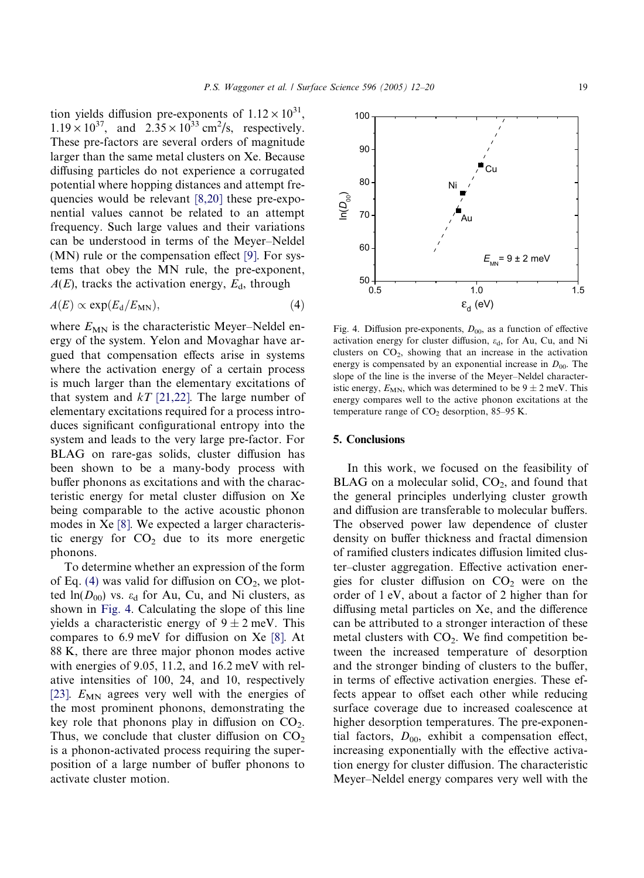tion yields diffusion pre-exponents of  $1.12 \times 10^{31}$ ,  $1.19 \times 10^{37}$ , and  $2.35 \times 10^{33}$  cm<sup>2</sup>/s, respectively. These pre-factors are several orders of magnitude larger than the same metal clusters on Xe. Because diffusing particles do not experience a corrugated potential where hopping distances and attempt frequencies would be relevant [\[8,20\]](#page-8-0) these pre-exponential values cannot be related to an attempt frequency. Such large values and their variations can be understood in terms of the Meyer–Neldel (MN) rule or the compensation effect [\[9\].](#page-8-0) For systems that obey the MN rule, the pre-exponent,  $A(E)$ , tracks the activation energy,  $E<sub>d</sub>$ , through

$$
A(E) \propto \exp(E_{\rm d}/E_{\rm MN}),\tag{4}
$$

where  $E_{MN}$  is the characteristic Meyer–Neldel energy of the system. Yelon and Movaghar have argued that compensation effects arise in systems where the activation energy of a certain process is much larger than the elementary excitations of that system and  $kT$  [\[21,22\]](#page-8-0). The large number of elementary excitations required for a process introduces significant configurational entropy into the system and leads to the very large pre-factor. For BLAG on rare-gas solids, cluster diffusion has been shown to be a many-body process with buffer phonons as excitations and with the characteristic energy for metal cluster diffusion on Xe being comparable to the active acoustic phonon modes in Xe [\[8\].](#page-8-0) We expected a larger characteristic energy for  $CO<sub>2</sub>$  due to its more energetic phonons.

To determine whether an expression of the form of Eq. (4) was valid for diffusion on  $CO<sub>2</sub>$ , we plotted  $ln(D_{00})$  vs.  $\varepsilon_d$  for Au, Cu, and Ni clusters, as shown in Fig. 4. Calculating the slope of this line yields a characteristic energy of  $9 \pm 2$  meV. This compares to 6.9 meV for diffusion on Xe [\[8\].](#page-8-0) At 88 K, there are three major phonon modes active with energies of 9.05, 11.2, and 16.2 meV with relative intensities of 100, 24, and 10, respectively [\[23\].](#page-8-0)  $E_{MN}$  agrees very well with the energies of the most prominent phonons, demonstrating the key role that phonons play in diffusion on  $CO<sub>2</sub>$ . Thus, we conclude that cluster diffusion on  $CO<sub>2</sub>$ is a phonon-activated process requiring the superposition of a large number of buffer phonons to activate cluster motion.



Fig. 4. Diffusion pre-exponents,  $D_{00}$ , as a function of effective activation energy for cluster diffusion,  $\varepsilon_d$ , for Au, Cu, and Ni clusters on  $CO<sub>2</sub>$ , showing that an increase in the activation energy is compensated by an exponential increase in  $D_{00}$ . The slope of the line is the inverse of the Meyer–Neldel characteristic energy,  $E_{MN}$ , which was determined to be  $9 \pm 2$  meV. This energy compares well to the active phonon excitations at the temperature range of  $CO<sub>2</sub>$  desorption, 85–95 K.

## 5. Conclusions

In this work, we focused on the feasibility of BLAG on a molecular solid,  $CO<sub>2</sub>$ , and found that the general principles underlying cluster growth and diffusion are transferable to molecular buffers. The observed power law dependence of cluster density on buffer thickness and fractal dimension of ramified clusters indicates diffusion limited cluster–cluster aggregation. Effective activation energies for cluster diffusion on  $CO<sub>2</sub>$  were on the order of 1 eV, about a factor of 2 higher than for diffusing metal particles on Xe, and the difference can be attributed to a stronger interaction of these metal clusters with  $CO<sub>2</sub>$ . We find competition between the increased temperature of desorption and the stronger binding of clusters to the buffer, in terms of effective activation energies. These effects appear to offset each other while reducing surface coverage due to increased coalescence at higher desorption temperatures. The pre-exponential factors,  $D_{00}$ , exhibit a compensation effect, increasing exponentially with the effective activation energy for cluster diffusion. The characteristic Meyer–Neldel energy compares very well with the